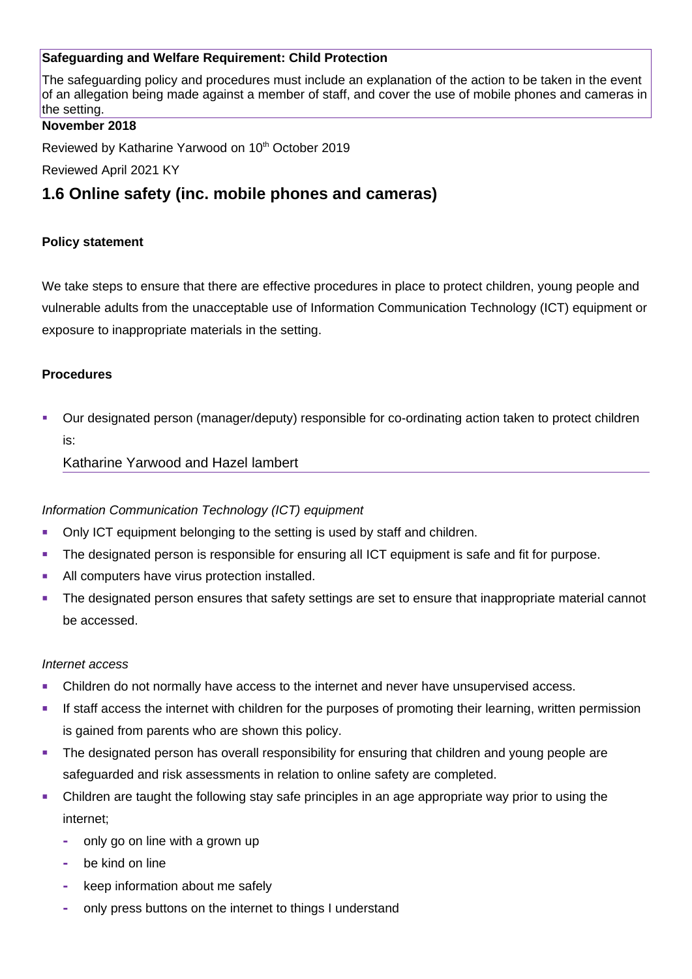# **Safeguarding and Welfare Requirement: Child Protection**

The safeguarding policy and procedures must include an explanation of the action to be taken in the event of an allegation being made against a member of staff, and cover the use of mobile phones and cameras in the setting.

### **November 2018**

Reviewed by Katharine Yarwood on 10<sup>th</sup> October 2019

Reviewed April 2021 KY

# **1.6 Online safety (inc. mobile phones and cameras)**

### **Policy statement**

We take steps to ensure that there are effective procedures in place to protect children, young people and vulnerable adults from the unacceptable use of Information Communication Technology (ICT) equipment or exposure to inappropriate materials in the setting.

#### **Procedures**

 Our designated person (manager/deputy) responsible for co-ordinating action taken to protect children is:

### Katharine Yarwood and Hazel lambert

### *Information Communication Technology (ICT) equipment*

- Only ICT equipment belonging to the setting is used by staff and children.
- The designated person is responsible for ensuring all ICT equipment is safe and fit for purpose.
- All computers have virus protection installed.
- **The designated person ensures that safety settings are set to ensure that inappropriate material cannot** be accessed.

#### *Internet access*

- Children do not normally have access to the internet and never have unsupervised access.
- If staff access the internet with children for the purposes of promoting their learning, written permission is gained from parents who are shown this policy.
- **The designated person has overall responsibility for ensuring that children and young people are** safeguarded and risk assessments in relation to online safety are completed.
- Children are taught the following stay safe principles in an age appropriate way prior to using the internet;
	- **-** only go on line with a grown up
	- **-** be kind on line
	- **-** keep information about me safely
	- **-** only press buttons on the internet to things I understand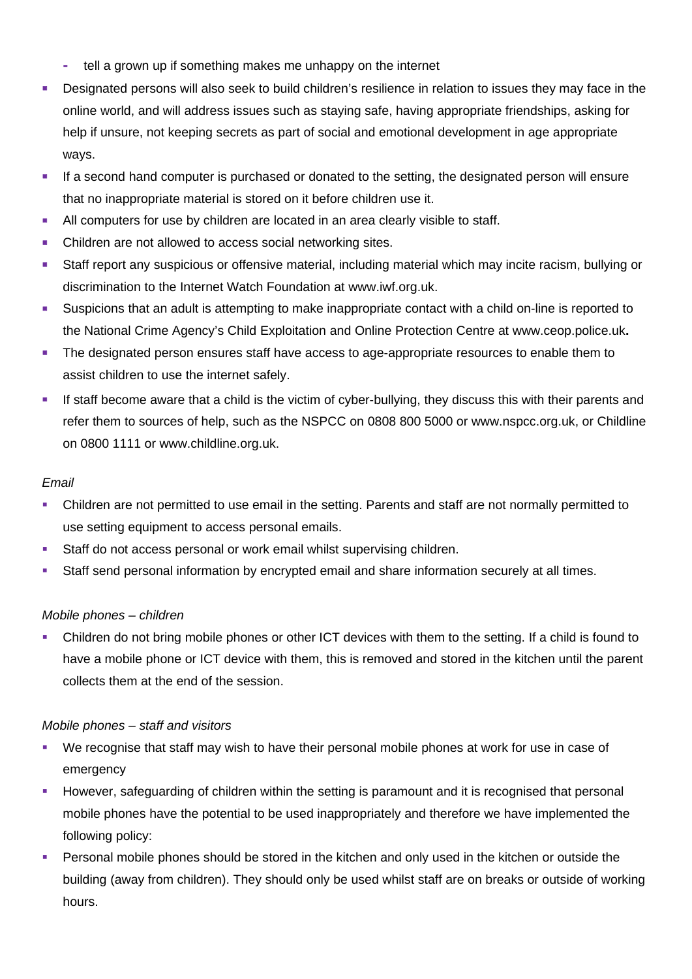- **-** tell a grown up if something makes me unhappy on the internet
- **Designated persons will also seek to build children's resilience in relation to issues they may face in the** online world, and will address issues such as staying safe, having appropriate friendships, asking for help if unsure, not keeping secrets as part of social and emotional development in age appropriate ways.
- If a second hand computer is purchased or donated to the setting, the designated person will ensure that no inappropriate material is stored on it before children use it.
- All computers for use by children are located in an area clearly visible to staff.
- Children are not allowed to access social networking sites.
- Staff report any suspicious or offensive material, including material which may incite racism, bullying or discrimination to the Internet Watch Foundation at [www.iwf.org.uk.](http://www.iwf.org.uk/)
- Suspicions that an adult is attempting to make inappropriate contact with a child on-line is reported to the National Crime Agency's Child Exploitation and Online Protection Centre at [www.ceop.police.uk](http://www.ceop.police.uk/)**.**
- The designated person ensures staff have access to age-appropriate resources to enable them to assist children to use the internet safely.
- If staff become aware that a child is the victim of cyber-bullying, they discuss this with their parents and refer them to sources of help, such as the NSPCC on 0808 800 5000 or www.nspcc.org.uk, or Childline on 0800 1111 or www.childline.org.uk.

# *Email*

- Children are not permitted to use email in the setting. Parents and staff are not normally permitted to use setting equipment to access personal emails.
- **Staff do not access personal or work email whilst supervising children.**
- Staff send personal information by encrypted email and share information securely at all times.

# *Mobile phones – children*

 Children do not bring mobile phones or other ICT devices with them to the setting. If a child is found to have a mobile phone or ICT device with them, this is removed and stored in the kitchen until the parent collects them at the end of the session.

# *Mobile phones – staff and visitors*

- We recognise that staff may wish to have their personal mobile phones at work for use in case of emergency
- **However, safeguarding of children within the setting is paramount and it is recognised that personal** mobile phones have the potential to be used inappropriately and therefore we have implemented the following policy:
- **Personal mobile phones should be stored in the kitchen and only used in the kitchen or outside the** building (away from children). They should only be used whilst staff are on breaks or outside of working hours.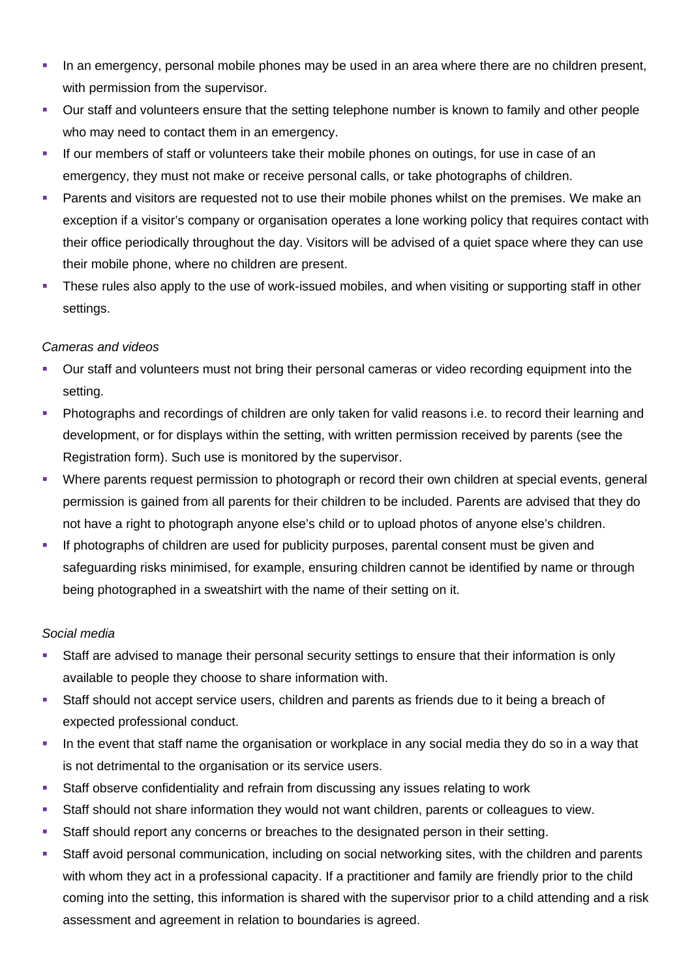- In an emergency, personal mobile phones may be used in an area where there are no children present, with permission from the supervisor.
- Our staff and volunteers ensure that the setting telephone number is known to family and other people who may need to contact them in an emergency.
- If our members of staff or volunteers take their mobile phones on outings, for use in case of an emergency, they must not make or receive personal calls, or take photographs of children.
- Parents and visitors are requested not to use their mobile phones whilst on the premises. We make an exception if a visitor's company or organisation operates a lone working policy that requires contact with their office periodically throughout the day. Visitors will be advised of a quiet space where they can use their mobile phone, where no children are present.
- These rules also apply to the use of work-issued mobiles, and when visiting or supporting staff in other settings.

# *Cameras and videos*

- Our staff and volunteers must not bring their personal cameras or video recording equipment into the setting.
- **•** Photographs and recordings of children are only taken for valid reasons i.e. to record their learning and development, or for displays within the setting, with written permission received by parents (see the Registration form). Such use is monitored by the supervisor.
- Where parents request permission to photograph or record their own children at special events, general permission is gained from all parents for their children to be included. Parents are advised that they do not have a right to photograph anyone else's child or to upload photos of anyone else's children.
- If photographs of children are used for publicity purposes, parental consent must be given and safeguarding risks minimised, for example, ensuring children cannot be identified by name or through being photographed in a sweatshirt with the name of their setting on it.

### *Social media*

- Staff are advised to manage their personal security settings to ensure that their information is only available to people they choose to share information with.
- Staff should not accept service users, children and parents as friends due to it being a breach of expected professional conduct.
- In the event that staff name the organisation or workplace in any social media they do so in a way that is not detrimental to the organisation or its service users.
- Staff observe confidentiality and refrain from discussing any issues relating to work
- Staff should not share information they would not want children, parents or colleagues to view.
- Staff should report any concerns or breaches to the designated person in their setting.
- Staff avoid personal communication, including on social networking sites, with the children and parents with whom they act in a professional capacity. If a practitioner and family are friendly prior to the child coming into the setting, this information is shared with the supervisor prior to a child attending and a risk assessment and agreement in relation to boundaries is agreed.